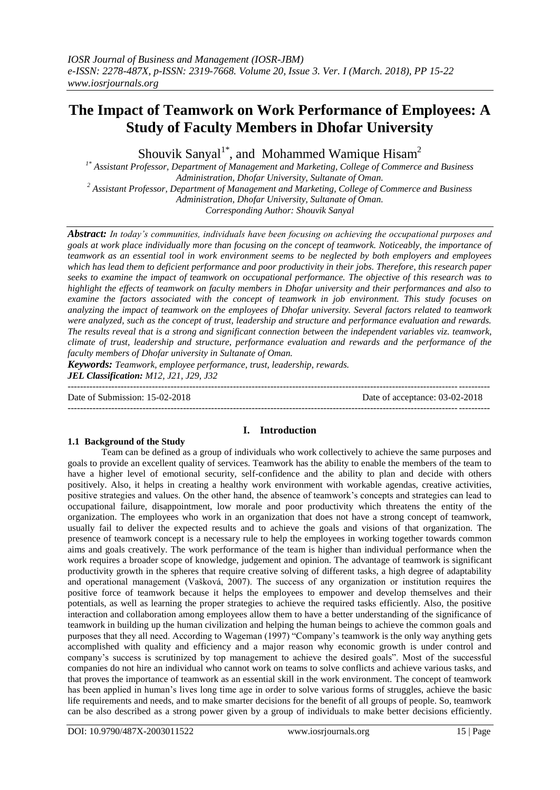# **The Impact of Teamwork on Work Performance of Employees: A Study of Faculty Members in Dhofar University**

Shouvik Sanyal<sup>1\*</sup>, and Mohammed Wamique Hisam<sup>2</sup>

*1\* Assistant Professor, Department of Management and Marketing, College of Commerce and Business Administration, Dhofar University, Sultanate of Oman. <sup>2</sup> Assistant Professor, Department of Management and Marketing, College of Commerce and Business Administration, Dhofar University, Sultanate of Oman. Corresponding Author: Shouvik Sanyal*

*Abstract: In today's communities, individuals have been focusing on achieving the occupational purposes and goals at work place individually more than focusing on the concept of teamwork. Noticeably, the importance of teamwork as an essential tool in work environment seems to be neglected by both employers and employees which has lead them to deficient performance and poor productivity in their jobs. Therefore, this research paper seeks to examine the impact of teamwork on occupational performance. The objective of this research was to highlight the effects of teamwork on faculty members in Dhofar university and their performances and also to examine the factors associated with the concept of teamwork in job environment. This study focuses on analyzing the impact of teamwork on the employees of Dhofar university. Several factors related to teamwork were analyzed, such as the concept of trust, leadership and structure and performance evaluation and rewards. The results reveal that is a strong and significant connection between the independent variables viz. teamwork, climate of trust, leadership and structure, performance evaluation and rewards and the performance of the faculty members of Dhofar university in Sultanate of Oman.*

*Keywords: Teamwork, employee performance, trust, leadership, rewards. JEL Classification: M12, J21, J29, J32* ---------------------------------------------------------------------------------------------------------------------------------------

Date of Submission: 15-02-2018 Date of acceptance: 03-02-2018 ---------------------------------------------------------------------------------------------------------------------------------------

# **1.1 Background of the Study**

# **I. Introduction**

Team can be defined as a group of individuals who work collectively to achieve the same purposes and goals to provide an excellent quality of services. Teamwork has the ability to enable the members of the team to have a higher level of emotional security, self-confidence and the ability to plan and decide with others positively. Also, it helps in creating a healthy work environment with workable agendas, creative activities, positive strategies and values. On the other hand, the absence of teamwork"s concepts and strategies can lead to occupational failure, disappointment, low morale and poor productivity which threatens the entity of the organization. The employees who work in an organization that does not have a strong concept of teamwork, usually fail to deliver the expected results and to achieve the goals and visions of that organization. The presence of teamwork concept is a necessary rule to help the employees in working together towards common aims and goals creatively. The work performance of the team is higher than individual performance when the work requires a broader scope of knowledge, judgement and opinion. The advantage of teamwork is significant productivity growth in the spheres that require creative solving of different tasks, a high degree of adaptability and operational management (Vašková, 2007). The success of any organization or institution requires the positive force of teamwork because it helps the employees to empower and develop themselves and their potentials, as well as learning the proper strategies to achieve the required tasks efficiently. Also, the positive interaction and collaboration among employees allow them to have a better understanding of the significance of teamwork in building up the human civilization and helping the human beings to achieve the common goals and purposes that they all need. According to Wageman (1997) "Company's teamwork is the only way anything gets accomplished with quality and efficiency and a major reason why economic growth is under control and company"s success is scrutinized by top management to achieve the desired goals". Most of the successful companies do not hire an individual who cannot work on teams to solve conflicts and achieve various tasks, and that proves the importance of teamwork as an essential skill in the work environment. The concept of teamwork has been applied in human"s lives long time age in order to solve various forms of struggles, achieve the basic life requirements and needs, and to make smarter decisions for the benefit of all groups of people. So, teamwork can be also described as a strong power given by a group of individuals to make better decisions efficiently.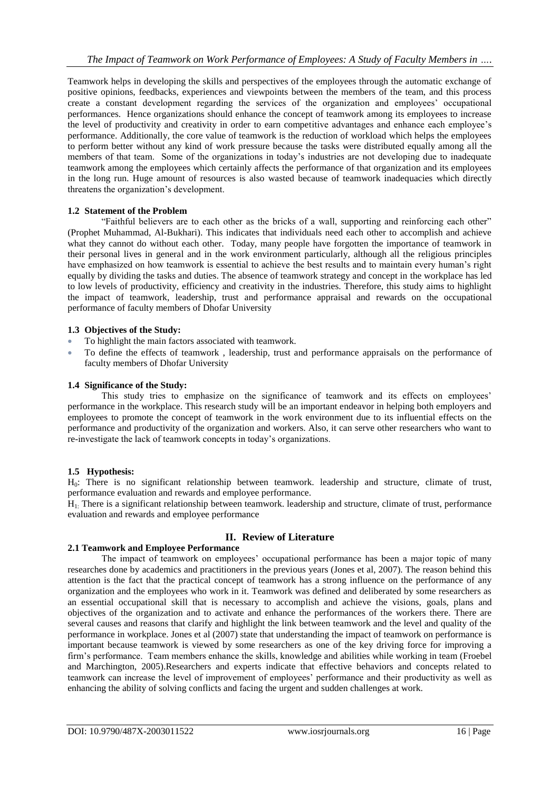Teamwork helps in developing the skills and perspectives of the employees through the automatic exchange of positive opinions, feedbacks, experiences and viewpoints between the members of the team, and this process create a constant development regarding the services of the organization and employees" occupational performances. Hence organizations should enhance the concept of teamwork among its employees to increase the level of productivity and creativity in order to earn competitive advantages and enhance each employee"s performance. Additionally, the core value of teamwork is the reduction of workload which helps the employees to perform better without any kind of work pressure because the tasks were distributed equally among all the members of that team. Some of the organizations in today"s industries are not developing due to inadequate teamwork among the employees which certainly affects the performance of that organization and its employees in the long run. Huge amount of resources is also wasted because of teamwork inadequacies which directly threatens the organization"s development.

# **1.2 Statement of the Problem**

"Faithful believers are to each other as the bricks of a wall, supporting and reinforcing each other" (Prophet Muhammad, Al-Bukhari). This indicates that individuals need each other to accomplish and achieve what they cannot do without each other. Today, many people have forgotten the importance of teamwork in their personal lives in general and in the work environment particularly, although all the religious principles have emphasized on how teamwork is essential to achieve the best results and to maintain every human"s right equally by dividing the tasks and duties. The absence of teamwork strategy and concept in the workplace has led to low levels of productivity, efficiency and creativity in the industries. Therefore, this study aims to highlight the impact of teamwork, leadership, trust and performance appraisal and rewards on the occupational performance of faculty members of Dhofar University

# **1.3 Objectives of the Study:**

- To highlight the main factors associated with teamwork.
- To define the effects of teamwork , leadership, trust and performance appraisals on the performance of faculty members of Dhofar University

# **1.4 Significance of the Study:**

This study tries to emphasize on the significance of teamwork and its effects on employees' performance in the workplace. This research study will be an important endeavor in helping both employers and employees to promote the concept of teamwork in the work environment due to its influential effects on the performance and productivity of the organization and workers. Also, it can serve other researchers who want to re-investigate the lack of teamwork concepts in today"s organizations.

# **1.5 Hypothesis:**

H0: There is no significant relationship between teamwork. leadership and structure, climate of trust, performance evaluation and rewards and employee performance.

H1: There is a significant relationship between teamwork. leadership and structure, climate of trust, performance evaluation and rewards and employee performance

# **II. Review of Literature**

# **2.1 Teamwork and Employee Performance**

The impact of teamwork on employees' occupational performance has been a major topic of many researches done by academics and practitioners in the previous years (Jones et al, 2007). The reason behind this attention is the fact that the practical concept of teamwork has a strong influence on the performance of any organization and the employees who work in it. Teamwork was defined and deliberated by some researchers as an essential occupational skill that is necessary to accomplish and achieve the visions, goals, plans and objectives of the organization and to activate and enhance the performances of the workers there. There are several causes and reasons that clarify and highlight the link between teamwork and the level and quality of the performance in workplace. Jones et al (2007) state that understanding the impact of teamwork on performance is important because teamwork is viewed by some researchers as one of the key driving force for improving a firm"s performance. Team members enhance the skills, knowledge and abilities while working in team (Froebel and Marchington, 2005).Researchers and experts indicate that effective behaviors and concepts related to teamwork can increase the level of improvement of employees" performance and their productivity as well as enhancing the ability of solving conflicts and facing the urgent and sudden challenges at work.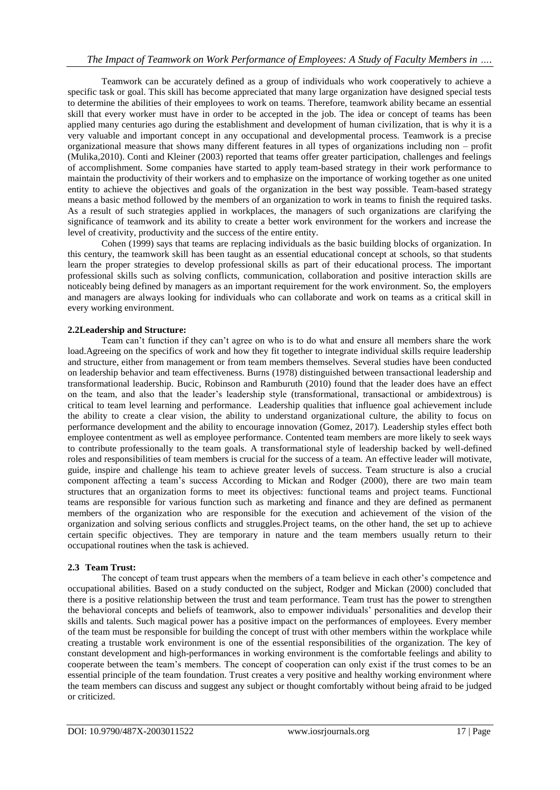Teamwork can be accurately defined as a group of individuals who work cooperatively to achieve a specific task or goal. This skill has become appreciated that many large organization have designed special tests to determine the abilities of their employees to work on teams. Therefore, teamwork ability became an essential skill that every worker must have in order to be accepted in the job. The idea or concept of teams has been applied many centuries ago during the establishment and development of human civilization, that is why it is a very valuable and important concept in any occupational and developmental process. Teamwork is a precise organizational measure that shows many different features in all types of organizations including non – profit (Mulika,2010). Conti and Kleiner (2003) reported that teams offer greater participation, challenges and feelings of accomplishment. Some companies have started to apply team-based strategy in their work performance to maintain the productivity of their workers and to emphasize on the importance of working together as one united entity to achieve the objectives and goals of the organization in the best way possible. Team-based strategy means a basic method followed by the members of an organization to work in teams to finish the required tasks. As a result of such strategies applied in workplaces, the managers of such organizations are clarifying the significance of teamwork and its ability to create a better work environment for the workers and increase the level of creativity, productivity and the success of the entire entity.

Cohen (1999) says that teams are replacing individuals as the basic building blocks of organization. In this century, the teamwork skill has been taught as an essential educational concept at schools, so that students learn the proper strategies to develop professional skills as part of their educational process. The important professional skills such as solving conflicts, communication, collaboration and positive interaction skills are noticeably being defined by managers as an important requirement for the work environment. So, the employers and managers are always looking for individuals who can collaborate and work on teams as a critical skill in every working environment.

# **2.2Leadership and Structure:**

Team can"t function if they can"t agree on who is to do what and ensure all members share the work load.Agreeing on the specifics of work and how they fit together to integrate individual skills require leadership and structure, either from management or from team members themselves. Several studies have been conducted on leadership behavior and team effectiveness. Burns (1978) distinguished between transactional leadership and transformational leadership. Bucic, Robinson and Ramburuth (2010) found that the leader does have an effect on the team, and also that the leader"s leadership style (transformational, transactional or ambidextrous) is critical to team level learning and performance. Leadership qualities that influence goal achievement include the ability to create a clear vision, the ability to understand organizational culture, the ability to focus on performance development and the ability to encourage innovation (Gomez, 2017). Leadership styles effect both employee contentment as well as employee performance. Contented team members are more likely to seek ways to contribute professionally to the team goals. A transformational style of leadership backed by well-defined roles and responsibilities of team members is crucial for the success of a team. An effective leader will motivate, guide, inspire and challenge his team to achieve greater levels of success. Team structure is also a crucial component affecting a team"s success According to Mickan and Rodger (2000), there are two main team structures that an organization forms to meet its objectives: functional teams and project teams. Functional teams are responsible for various function such as marketing and finance and they are defined as permanent members of the organization who are responsible for the execution and achievement of the vision of the organization and solving serious conflicts and struggles.Project teams, on the other hand, the set up to achieve certain specific objectives. They are temporary in nature and the team members usually return to their occupational routines when the task is achieved.

# **2.3 Team Trust:**

The concept of team trust appears when the members of a team believe in each other"s competence and occupational abilities. Based on a study conducted on the subject, Rodger and Mickan (2000) concluded that there is a positive relationship between the trust and team performance. Team trust has the power to strengthen the behavioral concepts and beliefs of teamwork, also to empower individuals" personalities and develop their skills and talents. Such magical power has a positive impact on the performances of employees. Every member of the team must be responsible for building the concept of trust with other members within the workplace while creating a trustable work environment is one of the essential responsibilities of the organization. The key of constant development and high-performances in working environment is the comfortable feelings and ability to cooperate between the team"s members. The concept of cooperation can only exist if the trust comes to be an essential principle of the team foundation. Trust creates a very positive and healthy working environment where the team members can discuss and suggest any subject or thought comfortably without being afraid to be judged or criticized.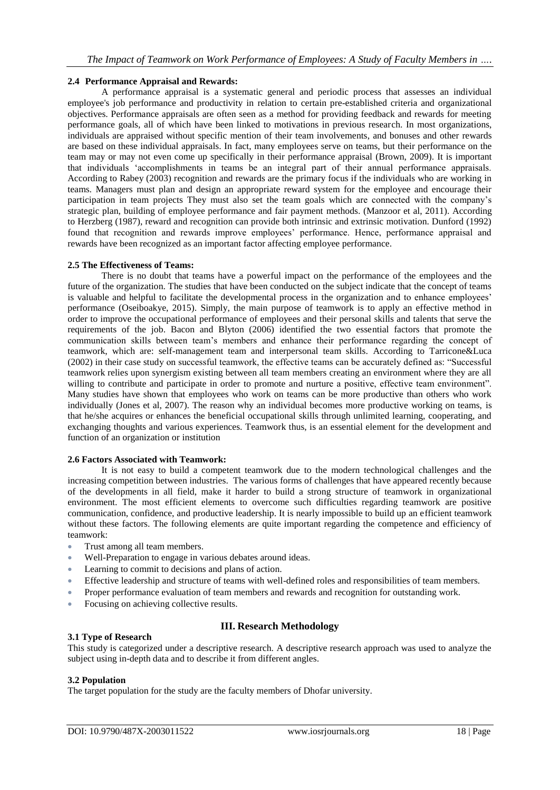## **2.4 Performance Appraisal and Rewards:**

A performance appraisal is a systematic general and periodic process that assesses an individual employee's job performance and productivity in relation to certain pre-established criteria and organizational objectives. Performance appraisals are often seen as a method for providing feedback and rewards for meeting performance goals, all of which have been linked to motivations in previous research. In most organizations, individuals are appraised without specific mention of their team involvements, and bonuses and other rewards are based on these individual appraisals. In fact, many employees serve on teams, but their performance on the team may or may not even come up specifically in their performance appraisal (Brown, 2009). It is important that individuals "accomplishments in teams be an integral part of their annual performance appraisals. According to Rabey (2003) recognition and rewards are the primary focus if the individuals who are working in teams. Managers must plan and design an appropriate reward system for the employee and encourage their participation in team projects They must also set the team goals which are connected with the company"s strategic plan, building of employee performance and fair payment methods. (Manzoor et al, 2011). According to Herzberg (1987), reward and recognition can provide both intrinsic and extrinsic motivation. Dunford (1992) found that recognition and rewards improve employees' performance. Hence, performance appraisal and rewards have been recognized as an important factor affecting employee performance.

## **2.5 The Effectiveness of Teams:**

There is no doubt that teams have a powerful impact on the performance of the employees and the future of the organization. The studies that have been conducted on the subject indicate that the concept of teams is valuable and helpful to facilitate the developmental process in the organization and to enhance employees' performance (Oseiboakye, 2015). Simply, the main purpose of teamwork is to apply an effective method in order to improve the occupational performance of employees and their personal skills and talents that serve the requirements of the job. Bacon and Blyton (2006) identified the two essential factors that promote the communication skills between team"s members and enhance their performance regarding the concept of teamwork, which are: self-management team and interpersonal team skills. According to Tarricone&Luca (2002) in their case study on successful teamwork, the effective teams can be accurately defined as: "Successful teamwork relies upon synergism existing between all team members creating an environment where they are all willing to contribute and participate in order to promote and nurture a positive, effective team environment". Many studies have shown that employees who work on teams can be more productive than others who work individually (Jones et al, 2007). The reason why an individual becomes more productive working on teams, is that he/she acquires or enhances the beneficial occupational skills through unlimited learning, cooperating, and exchanging thoughts and various experiences. Teamwork thus, is an essential element for the development and function of an organization or institution

#### **2.6 Factors Associated with Teamwork:**

It is not easy to build a competent teamwork due to the modern technological challenges and the increasing competition between industries. The various forms of challenges that have appeared recently because of the developments in all field, make it harder to build a strong structure of teamwork in organizational environment. The most efficient elements to overcome such difficulties regarding teamwork are positive communication, confidence, and productive leadership. It is nearly impossible to build up an efficient teamwork without these factors. The following elements are quite important regarding the competence and efficiency of teamwork:

- Trust among all team members.
- Well-Preparation to engage in various debates around ideas.
- Learning to commit to decisions and plans of action.
- Effective leadership and structure of teams with well-defined roles and responsibilities of team members.
- Proper performance evaluation of team members and rewards and recognition for outstanding work.
- Focusing on achieving collective results.

# **III. Research Methodology**

#### **3.1 Type of Research**

This study is categorized under a descriptive research. A descriptive research approach was used to analyze the subject using in-depth data and to describe it from different angles.

# **3.2 Population**

The target population for the study are the faculty members of Dhofar university.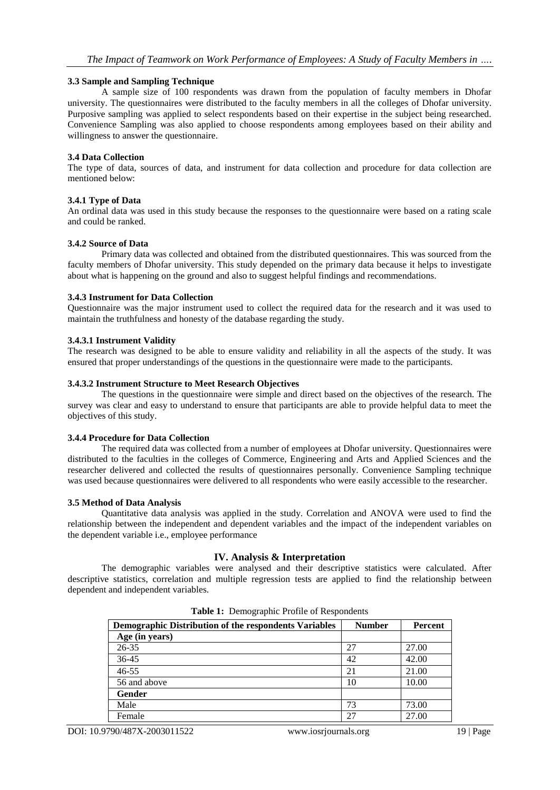#### **3.3 Sample and Sampling Technique**

A sample size of 100 respondents was drawn from the population of faculty members in Dhofar university. The questionnaires were distributed to the faculty members in all the colleges of Dhofar university. Purposive sampling was applied to select respondents based on their expertise in the subject being researched. Convenience Sampling was also applied to choose respondents among employees based on their ability and willingness to answer the questionnaire.

#### **3.4 Data Collection**

The type of data, sources of data, and instrument for data collection and procedure for data collection are mentioned below:

#### **3.4.1 Type of Data**

An ordinal data was used in this study because the responses to the questionnaire were based on a rating scale and could be ranked.

## **3.4.2 Source of Data**

Primary data was collected and obtained from the distributed questionnaires. This was sourced from the faculty members of Dhofar university. This study depended on the primary data because it helps to investigate about what is happening on the ground and also to suggest helpful findings and recommendations.

#### **3.4.3 Instrument for Data Collection**

Questionnaire was the major instrument used to collect the required data for the research and it was used to maintain the truthfulness and honesty of the database regarding the study.

## **3.4.3.1 Instrument Validity**

The research was designed to be able to ensure validity and reliability in all the aspects of the study. It was ensured that proper understandings of the questions in the questionnaire were made to the participants.

#### **3.4.3.2 Instrument Structure to Meet Research Objectives**

The questions in the questionnaire were simple and direct based on the objectives of the research. The survey was clear and easy to understand to ensure that participants are able to provide helpful data to meet the objectives of this study.

#### **3.4.4 Procedure for Data Collection**

The required data was collected from a number of employees at Dhofar university. Questionnaires were distributed to the faculties in the colleges of Commerce, Engineering and Arts and Applied Sciences and the researcher delivered and collected the results of questionnaires personally. Convenience Sampling technique was used because questionnaires were delivered to all respondents who were easily accessible to the researcher.

#### **3.5 Method of Data Analysis**

Quantitative data analysis was applied in the study. Correlation and ANOVA were used to find the relationship between the independent and dependent variables and the impact of the independent variables on the dependent variable i.e., employee performance

# **IV. Analysis & Interpretation**

The demographic variables were analysed and their descriptive statistics were calculated. After descriptive statistics, correlation and multiple regression tests are applied to find the relationship between dependent and independent variables.

| Demographic Distribution of the respondents Variables | <b>Number</b> | Percent |
|-------------------------------------------------------|---------------|---------|
| Age (in years)                                        |               |         |
| 26-35                                                 | 27            | 27.00   |
| 36-45                                                 | 42            | 42.00   |
| $46 - 55$                                             | 21            | 21.00   |
| 56 and above                                          | 10            | 10.00   |
| Gender                                                |               |         |
| Male                                                  | 73            | 73.00   |
| Female                                                | 27            | 27.00   |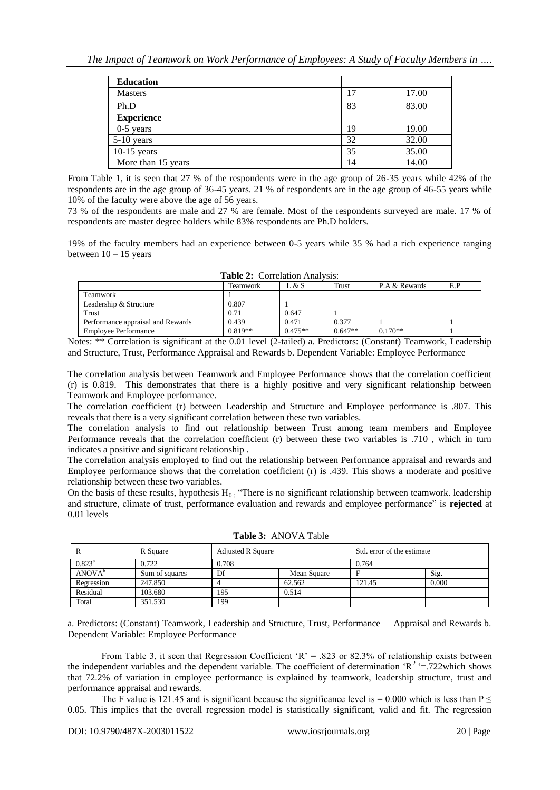| <b>Education</b>   |    |       |
|--------------------|----|-------|
| <b>Masters</b>     |    | 17.00 |
| Ph.D               | 83 | 83.00 |
| <b>Experience</b>  |    |       |
| $0-5$ years        | 19 | 19.00 |
| 5-10 years         | 32 | 32.00 |
| $10-15$ years      | 35 | 35.00 |
| More than 15 years | 14 | 14.00 |

From Table 1, it is seen that 27 % of the respondents were in the age group of 26-35 years while 42% of the respondents are in the age group of 36-45 years. 21 % of respondents are in the age group of 46-55 years while 10% of the faculty were above the age of 56 years.

73 % of the respondents are male and 27 % are female. Most of the respondents surveyed are male. 17 % of respondents are master degree holders while 83% respondents are Ph.D holders.

19% of the faculty members had an experience between 0-5 years while 35 % had a rich experience ranging between  $10 - 15$  years

| $\blacksquare$                    |           |           |           |               |     |  |  |
|-----------------------------------|-----------|-----------|-----------|---------------|-----|--|--|
|                                   | Teamwork  | L & S     | Trust     | P.A & Rewards | E.P |  |  |
| Teamwork                          |           |           |           |               |     |  |  |
| Leadership & Structure            | 0.807     |           |           |               |     |  |  |
| Trust                             | 0.71      | 0.647     |           |               |     |  |  |
| Performance appraisal and Rewards | 0.439     | 0.471     | 0.377     |               |     |  |  |
| <b>Employee Performance</b>       | $0.819**$ | $0.475**$ | $0.647**$ | $0.170**$     |     |  |  |

| Table 2: Correlation Analysis: |  |  |  |
|--------------------------------|--|--|--|
|--------------------------------|--|--|--|

Notes: \*\* Correlation is significant at the 0.01 level (2-tailed) a. Predictors: (Constant) Teamwork, Leadership and Structure, Trust, Performance Appraisal and Rewards b. Dependent Variable: Employee Performance

The correlation analysis between Teamwork and Employee Performance shows that the correlation coefficient (r) is 0.819. This demonstrates that there is a highly positive and very significant relationship between Teamwork and Employee performance.

The correlation coefficient (r) between Leadership and Structure and Employee performance is .807. This reveals that there is a very significant correlation between these two variables.

The correlation analysis to find out relationship between Trust among team members and Employee Performance reveals that the correlation coefficient (r) between these two variables is .710 , which in turn indicates a positive and significant relationship .

The correlation analysis employed to find out the relationship between Performance appraisal and rewards and Employee performance shows that the correlation coefficient (r) is .439. This shows a moderate and positive relationship between these two variables.

On the basis of these results, hypothesis  $H_0$ . "There is no significant relationship between teamwork. leadership and structure, climate of trust, performance evaluation and rewards and employee performance" is **rejected** at 0.01 levels

|                    | R Square       | <b>Adjusted R Square</b> |             | Std. error of the estimate |       |
|--------------------|----------------|--------------------------|-------------|----------------------------|-------|
| $0.823^{\rm a}$    | 0.722          | 0.708                    |             | 0.764                      |       |
| ANOVA <sup>b</sup> | Sum of squares | Df                       | Mean Square |                            | Sig.  |
| Regression         | 247.850        |                          | 62.562      | 121.45                     | 0.000 |
| Residual           | 103.680        | 195                      | 0.514       |                            |       |
| Total              | 351.530        | 199                      |             |                            |       |

**Table 3:** ANOVA Table

a. Predictors: (Constant) Teamwork, Leadership and Structure, Trust, Performance Appraisal and Rewards b. Dependent Variable: Employee Performance

From Table 3, it seen that Regression Coefficient  $R = 0.823$  or 82.3% of relationship exists between the independent variables and the dependent variable. The coefficient of determination  $R^2 = 722$ which shows that 72.2% of variation in employee performance is explained by teamwork, leadership structure, trust and performance appraisal and rewards.

The F value is 121.45 and is significant because the significance level is = 0.000 which is less than  $P \le$ 0.05. This implies that the overall regression model is statistically significant, valid and fit. The regression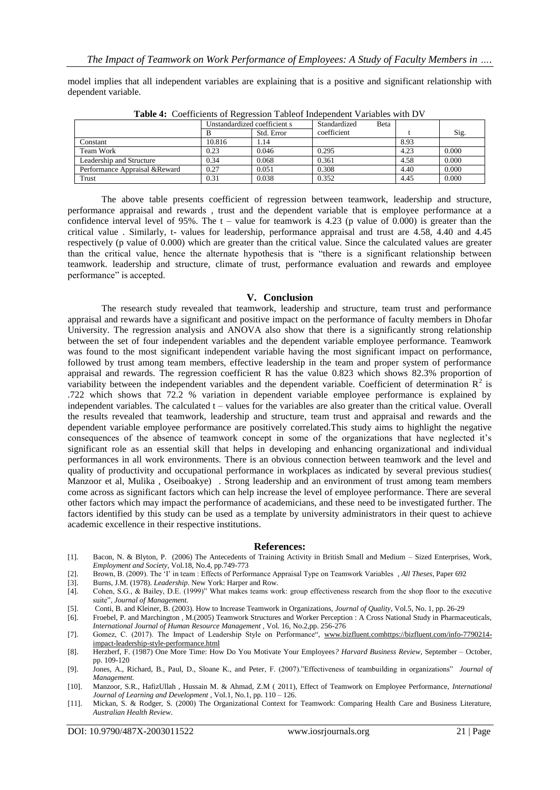model implies that all independent variables are explaining that is a positive and significant relationship with dependent variable.

| <b>THERE</b> IF COULDIVILLE OF INCREDISION TROITED MINORITY WINDING WITH $D$ ! |                              |            |                              |      |       |  |  |
|--------------------------------------------------------------------------------|------------------------------|------------|------------------------------|------|-------|--|--|
|                                                                                | Unstandardized coefficient s |            | Standardized<br><b>B</b> eta |      |       |  |  |
|                                                                                |                              | Std. Error | coefficient                  |      | Sig.  |  |  |
| Constant                                                                       | 10.816                       | l.14       |                              | 8.93 |       |  |  |
| Team Work                                                                      | 0.23                         | 0.046      | 0.295                        | 4.23 | 0.000 |  |  |
| Leadership and Structure                                                       | 0.34                         | 0.068      | 0.361                        | 4.58 | 0.000 |  |  |
| Performance Appraisal & Reward                                                 | 0.27                         | 0.051      | 0.308                        | 4.40 | 0.000 |  |  |
| Trust                                                                          | 0.31                         | 0.038      | 0.352                        | 4.45 | 0.000 |  |  |
|                                                                                |                              |            |                              |      |       |  |  |

**Table 4:** Coefficients of Regression Tableof Independent Variables with DV

The above table presents coefficient of regression between teamwork, leadership and structure, performance appraisal and rewards , trust and the dependent variable that is employee performance at a confidence interval level of 95%. The  $t -$  value for teamwork is 4.23 (p value of 0.000) is greater than the critical value . Similarly, t- values for leadership, performance appraisal and trust are 4.58, 4.40 and 4.45 respectively (p value of 0.000) which are greater than the critical value. Since the calculated values are greater than the critical value, hence the alternate hypothesis that is "there is a significant relationship between teamwork. leadership and structure, climate of trust, performance evaluation and rewards and employee performance" is accepted.

## **V. Conclusion**

The research study revealed that teamwork, leadership and structure, team trust and performance appraisal and rewards have a significant and positive impact on the performance of faculty members in Dhofar University. The regression analysis and ANOVA also show that there is a significantly strong relationship between the set of four independent variables and the dependent variable employee performance. Teamwork was found to the most significant independent variable having the most significant impact on performance, followed by trust among team members, effective leadership in the team and proper system of performance appraisal and rewards. The regression coefficient R has the value 0.823 which shows 82.3% proportion of variability between the independent variables and the dependent variable. Coefficient of determination  $R^2$  is .722 which shows that 72.2 % variation in dependent variable employee performance is explained by independent variables. The calculated t – values for the variables are also greater than the critical value. Overall the results revealed that teamwork, leadership and structure, team trust and appraisal and rewards and the dependent variable employee performance are positively correlated.This study aims to highlight the negative consequences of the absence of teamwork concept in some of the organizations that have neglected it"s significant role as an essential skill that helps in developing and enhancing organizational and individual performances in all work environments. There is an obvious connection between teamwork and the level and quality of productivity and occupational performance in workplaces as indicated by several previous studies( Manzoor et al, Mulika , Oseiboakye) . Strong leadership and an environment of trust among team members come across as significant factors which can help increase the level of employee performance. There are several other factors which may impact the performance of academicians, and these need to be investigated further. The factors identified by this study can be used as a template by university administrators in their quest to achieve academic excellence in their respective institutions.

#### **References:**

- [1]. Bacon, N. & Blyton, P. (2006) The Antecedents of Training Activity in British Small and Medium Sized Enterprises, Work, *Employment and Society*, Vol.18, No.4, pp.749-773
- [2]. Brown, B. (2009). The "I" in team : Effects of Performance Appraisal Type on Teamwork Variables , *All Theses*, Paper 692
- [3]. Burns, J.M. (1978). *Leadership*. New York: Harper and Row.
- [4]. Cohen, S.G., & Bailey, D.E. (1999)" What makes teams work: group effectiveness research from the shop floor to the executive suite", *Journal of Management.*
- [5]. Conti, B. and Kleiner, B. (2003). How to Increase Teamwork in Organizations, *Journal of Quality*, Vol.5, No. 1, pp. 26-29
- [6]. Froebel, P. and Marchington , M.(2005) Teamwork Structures and Worker Perception : A Cross National Study in Pharmaceuticals, *International Journal of Human Resource Management ,* Vol. 16, No.2,pp. 256-276
- [7]. Gomez, C. (2017). The Impact of Leadership Style on Performance", [www.bizfluent.comhttps://bizfluent.com/info-7790214](http://www.bizfluent.comhttps/bizfluent.com/info-7790214-impact-leadership-style-performance.html) [impact-leadership-style-performance.html](http://www.bizfluent.comhttps/bizfluent.com/info-7790214-impact-leadership-style-performance.html)
- [8]. Herzberf, F. (1987) One More Time: How Do You Motivate Your Employees*? Harvard Business Review*, September October, pp. 109-120
- [9]. Jones, A., Richard, B., Paul, D., Sloane K., and Peter, F. (2007)."Effectiveness of teambuilding in organizations" *Journal of Management.*
- [10]. Manzoor, S.R., HafizUllah , Hussain M. & Ahmad, Z.M ( 2011), Effect of Teamwork on Employee Performance, *International Journal of Learning and Development* , Vol.1, No.1, pp. 110 – 126.
- [11]. Mickan, S. & Rodger, S. (2000) The Organizational Context for Teamwork: Comparing Health Care and Business Literature, *Australian Health Review*.